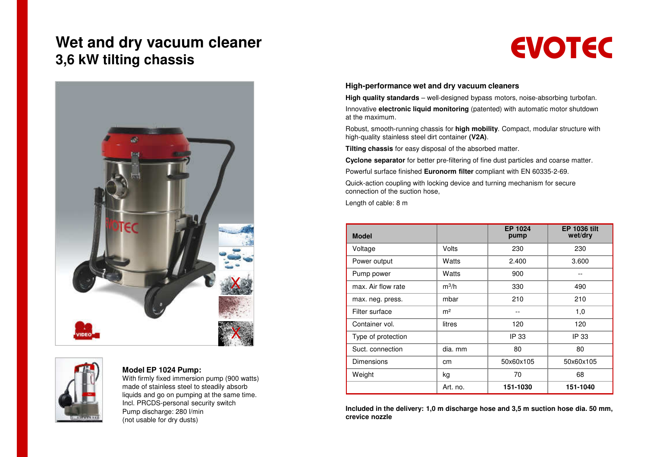## **Wet and dry vacuum cleaner 3,6 kW tilting chassis**





#### **Model EP 1024 Pump:**

 With firmly fixed immersion pump (900 watts) made of stainless steel to steadily absorb liquids and go on pumping at the same time. Incl. PRCDS-personal security switchPump discharge: 280 l/min(not usable for dry dusts)

# **EVOTEC**

#### **High-performance wet and dry vacuum cleaners**

 **High quality standards** – well-designed bypass motors, noise-absorbing turbofan. Innovative **electronic liquid monitoring** (patented) with automatic motor shutdown at the maximum.

Robust, smooth-running chassis for **high mobility**. Compact, modular structure withhigh-quality stainless steel dirt container **(V2A)**.

**Tilting chassis** for easy disposal of the absorbed matter.

**Cyclone separator** for better pre-filtering of fine dust particles and coarse matter.

Powerful surface finished **Euronorm filter** compliant with EN 60335-2-69.

Quick-action coupling with locking device and turning mechanism for secureconnection of the suction hose,

Length of cable: 8 m

| <b>Model</b>       |                | EP 1024<br>pump | <b>EP 1036 tilt</b><br>wet/dry |
|--------------------|----------------|-----------------|--------------------------------|
| Voltage            | Volts          | 230             | 230                            |
| Power output       | Watts          | 2.400           | 3.600                          |
| Pump power         | Watts          | 900             | --                             |
| max. Air flow rate | $m^3/h$        | 330             | 490                            |
| max. neg. press.   | mbar           | 210             | 210                            |
| Filter surface     | m <sup>2</sup> |                 | 1,0                            |
| Container vol.     | litres         | 120             | 120                            |
| Type of protection |                | IP 33           | IP 33                          |
| Suct. connection   | dia. mm        | 80              | 80                             |
| Dimensions         | cm             | 50x60x105       | 50x60x105                      |
| Weight             | kg             | 70              | 68                             |
|                    | Art. no.       | 151-1030        | 151-1040                       |

**Included in the delivery: 1,0 m discharge hose and 3,5 m suction hose dia. 50 mm, crevice nozzle**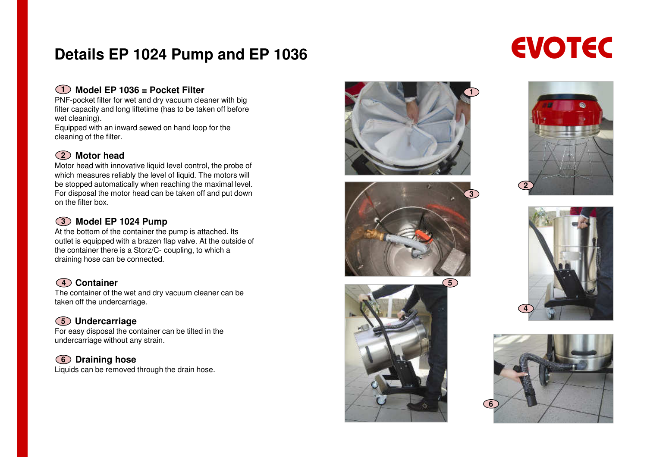# **Details EP 1024 Pump and EP 1036**

### **Model EP 1036 = Pocket Filter1**

 PNF-pocket filter for wet and dry vacuum cleaner with big filter capacity and long liftetime (has to be taken off before wet cleaning).

 Equipped with an inward sewed on hand loop for the cleaning of the filter.

## **Motor head2**

 Motor head with innovative liquid level control, the probe of which measures reliably the level of liquid. The motors will be stopped automatically when reaching the maximal level. For disposal the motor head can be taken off and put down on the filter box.

### **Model EP 1024 Pump 3**

 At the bottom of the container the pump is attached. Its outlet is equipped with a brazen flap valve. At the outside of the container there is a Storz/C- coupling, to which a draining hose can be connected.

### **Container4**

 The container of the wet and dry vacuum cleaner can be taken off the undercarriage.

## **Undercarriage5**

 For easy disposal the container can be tilted in the undercarriage without any strain.

### **Draining hose6**

Liquids can be removed through the drain hose.